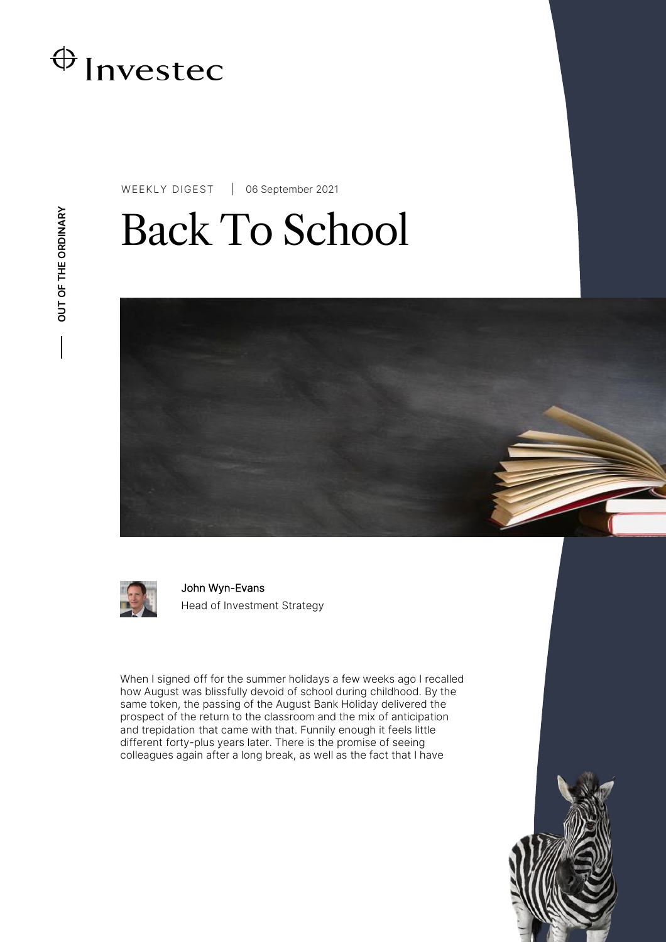

WEEKLY DIGEST 06 September 2021

# Back To School



John Wyn-Evans Head of Investment Strategy

When I signed off for the summer holidays a few weeks ago I recalled how August was blissfully devoid of school during childhood. By the same token, the passing of the August Bank Holiday delivered the prospect of the return to the classroom and the mix of anticipation and trepidation that came with that. Funnily enough it feels little different forty-plus years later. There is the promise of seeing colleagues again after a long break, as well as the fact that I have

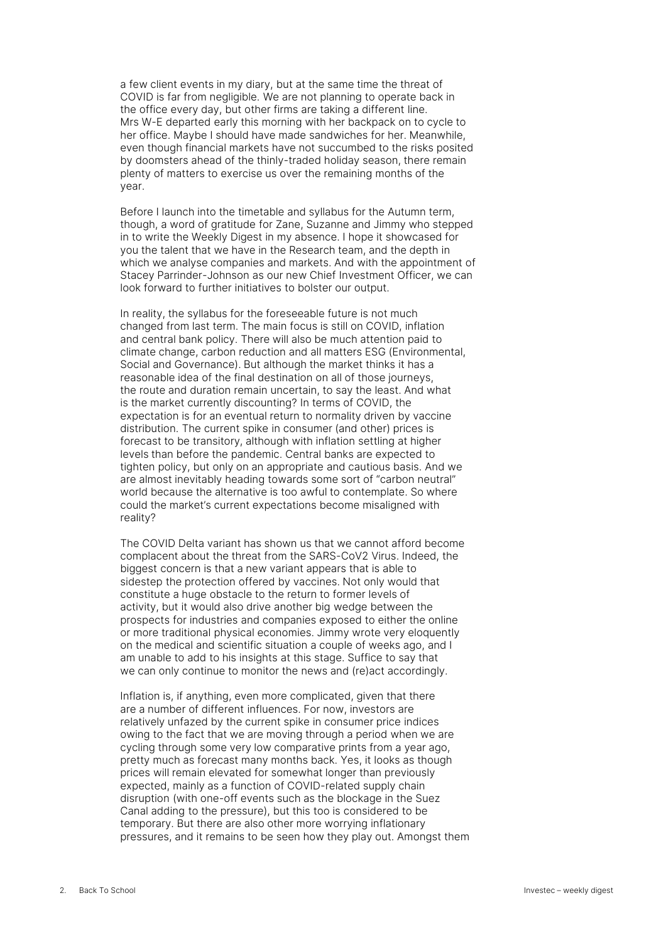a few client events in my diary, but at the same time the threat of COVID is far from negligible. We are not planning to operate back in the office every day, but other firms are taking a different line. Mrs W-E departed early this morning with her backpack on to cycle to her office. Maybe I should have made sandwiches for her. Meanwhile, even though financial markets have not succumbed to the risks posited by doomsters ahead of the thinly-traded holiday season, there remain plenty of matters to exercise us over the remaining months of the year.

Before I launch into the timetable and syllabus for the Autumn term, though, a word of gratitude for Zane, Suzanne and Jimmy who stepped in to write the Weekly Digest in my absence. I hope it showcased for you the talent that we have in the Research team, and the depth in which we analyse companies and markets. And with the appointment of Stacey Parrinder-Johnson as our new Chief Investment Officer, we can look forward to further initiatives to bolster our output.

In reality, the syllabus for the foreseeable future is not much changed from last term. The main focus is still on COVID, inflation and central bank policy. There will also be much attention paid to climate change, carbon reduction and all matters ESG (Environmental, Social and Governance). But although the market thinks it has a reasonable idea of the final destination on all of those journeys, the route and duration remain uncertain, to say the least. And what is the market currently discounting? In terms of COVID, the expectation is for an eventual return to normality driven by vaccine distribution. The current spike in consumer (and other) prices is forecast to be transitory, although with inflation settling at higher levels than before the pandemic. Central banks are expected to tighten policy, but only on an appropriate and cautious basis. And we are almost inevitably heading towards some sort of "carbon neutral" world because the alternative is too awful to contemplate. So where could the market's current expectations become misaligned with reality?

The COVID Delta variant has shown us that we cannot afford become complacent about the threat from the SARS-CoV2 Virus. Indeed, the biggest concern is that a new variant appears that is able to sidestep the protection offered by vaccines. Not only would that constitute a huge obstacle to the return to former levels of activity, but it would also drive another big wedge between the prospects for industries and companies exposed to either the online or more traditional physical economies. Jimmy wrote very eloquently on the medical and scientific situation a couple of weeks ago, and I am unable to add to his insights at this stage. Suffice to say that we can only continue to monitor the news and (re)act accordingly.

Inflation is, if anything, even more complicated, given that there are a number of different influences. For now, investors are relatively unfazed by the current spike in consumer price indices owing to the fact that we are moving through a period when we are cycling through some very low comparative prints from a year ago, pretty much as forecast many months back. Yes, it looks as though prices will remain elevated for somewhat longer than previously expected, mainly as a function of COVID-related supply chain disruption (with one-off events such as the blockage in the Suez Canal adding to the pressure), but this too is considered to be temporary. But there are also other more worrying inflationary pressures, and it remains to be seen how they play out. Amongst them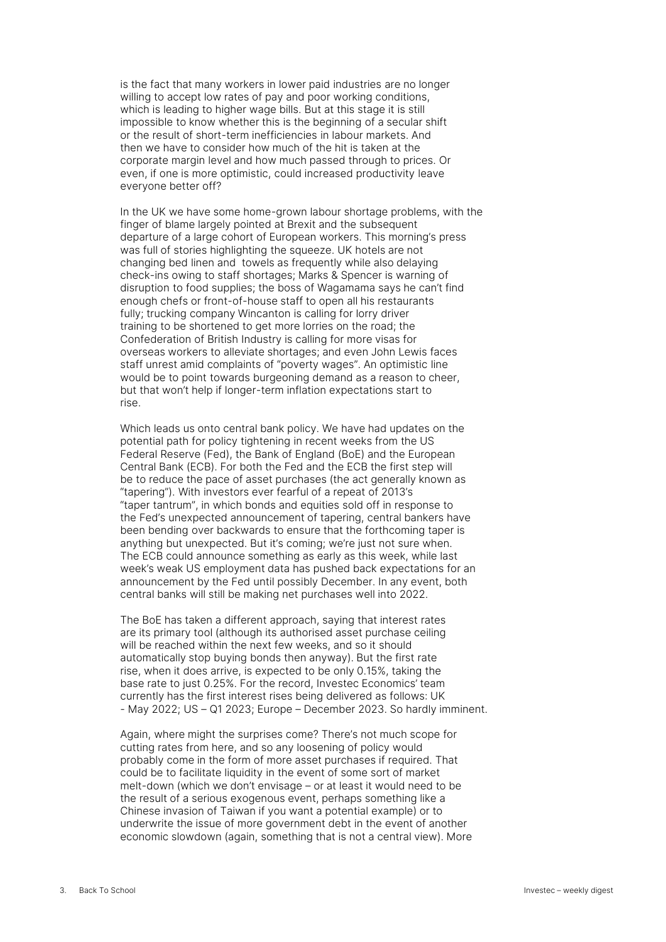is the fact that many workers in lower paid industries are no longer willing to accept low rates of pay and poor working conditions, which is leading to higher wage bills. But at this stage it is still impossible to know whether this is the beginning of a secular shift or the result of short-term inefficiencies in labour markets. And then we have to consider how much of the hit is taken at the corporate margin level and how much passed through to prices. Or even, if one is more optimistic, could increased productivity leave everyone better off?

In the UK we have some home-grown labour shortage problems, with the finger of blame largely pointed at Brexit and the subsequent departure of a large cohort of European workers. This morning's press was full of stories highlighting the squeeze. UK hotels are not changing bed linen and towels as frequently while also delaying check-ins owing to staff shortages; Marks & Spencer is warning of disruption to food supplies; the boss of Wagamama says he can't find enough chefs or front-of-house staff to open all his restaurants fully; trucking company Wincanton is calling for lorry driver training to be shortened to get more lorries on the road; the Confederation of British Industry is calling for more visas for overseas workers to alleviate shortages; and even John Lewis faces staff unrest amid complaints of "poverty wages". An optimistic line would be to point towards burgeoning demand as a reason to cheer, but that won't help if longer-term inflation expectations start to rise.

Which leads us onto central bank policy. We have had updates on the potential path for policy tightening in recent weeks from the US Federal Reserve (Fed), the Bank of England (BoE) and the European Central Bank (ECB). For both the Fed and the ECB the first step will be to reduce the pace of asset purchases (the act generally known as "tapering"). With investors ever fearful of a repeat of 2013's "taper tantrum", in which bonds and equities sold off in response to the Fed's unexpected announcement of tapering, central bankers have been bending over backwards to ensure that the forthcoming taper is anything but unexpected. But it's coming; we're just not sure when. The ECB could announce something as early as this week, while last week's weak US employment data has pushed back expectations for an announcement by the Fed until possibly December. In any event, both central banks will still be making net purchases well into 2022.

The BoE has taken a different approach, saying that interest rates are its primary tool (although its authorised asset purchase ceiling will be reached within the next few weeks, and so it should automatically stop buying bonds then anyway). But the first rate rise, when it does arrive, is expected to be only 0.15%, taking the base rate to just 0.25%. For the record, Investec Economics' team currently has the first interest rises being delivered as follows: UK - May 2022; US – Q1 2023; Europe – December 2023. So hardly imminent.

Again, where might the surprises come? There's not much scope for cutting rates from here, and so any loosening of policy would probably come in the form of more asset purchases if required. That could be to facilitate liquidity in the event of some sort of market melt-down (which we don't envisage – or at least it would need to be the result of a serious exogenous event, perhaps something like a Chinese invasion of Taiwan if you want a potential example) or to underwrite the issue of more government debt in the event of another economic slowdown (again, something that is not a central view). More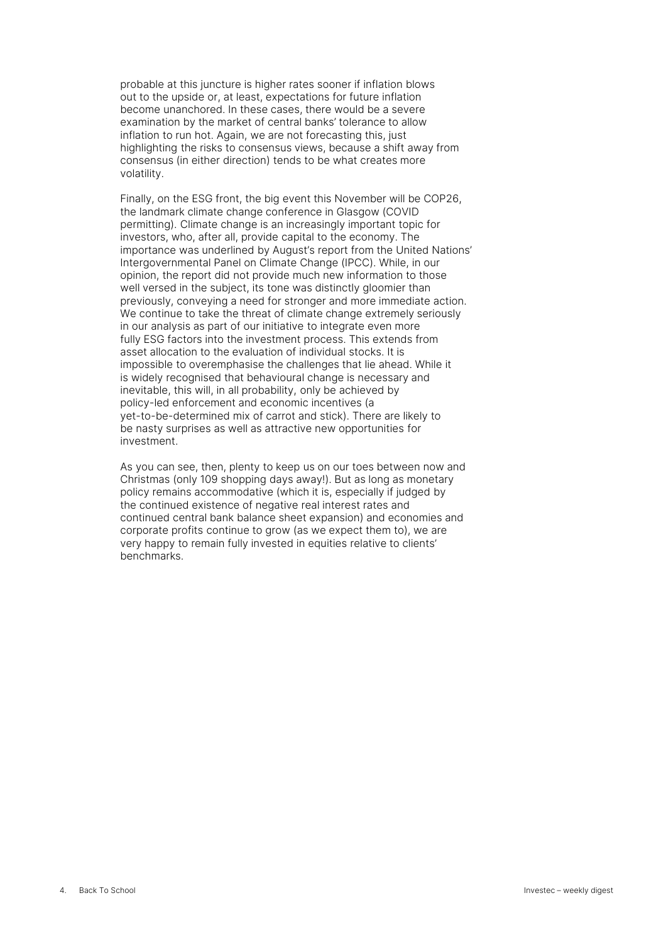probable at this juncture is higher rates sooner if inflation blows out to the upside or, at least, expectations for future inflation become unanchored. In these cases, there would be a severe examination by the market of central banks' tolerance to allow inflation to run hot. Again, we are not forecasting this, just highlighting the risks to consensus views, because a shift away from consensus (in either direction) tends to be what creates more volatility.

Finally, on the ESG front, the big event this November will be COP26, the landmark climate change conference in Glasgow (COVID permitting). Climate change is an increasingly important topic for investors, who, after all, provide capital to the economy. The importance was underlined by August's report from the United Nations' Intergovernmental Panel on Climate Change (IPCC). While, in our opinion, the report did not provide much new information to those well versed in the subject, its tone was distinctly gloomier than previously, conveying a need for stronger and more immediate action. We continue to take the threat of climate change extremely seriously in our analysis as part of our initiative to integrate even more fully ESG factors into the investment process. This extends from asset allocation to the evaluation of individual stocks. It is impossible to overemphasise the challenges that lie ahead. While it is widely recognised that behavioural change is necessary and inevitable, this will, in all probability, only be achieved by policy-led enforcement and economic incentives (a yet-to-be-determined mix of carrot and stick). There are likely to be nasty surprises as well as attractive new opportunities for investment.

As you can see, then, plenty to keep us on our toes between now and Christmas (only 109 shopping days away!). But as long as monetary policy remains accommodative (which it is, especially if judged by the continued existence of negative real interest rates and continued central bank balance sheet expansion) and economies and corporate profits continue to grow (as we expect them to), we are very happy to remain fully invested in equities relative to clients' benchmarks.